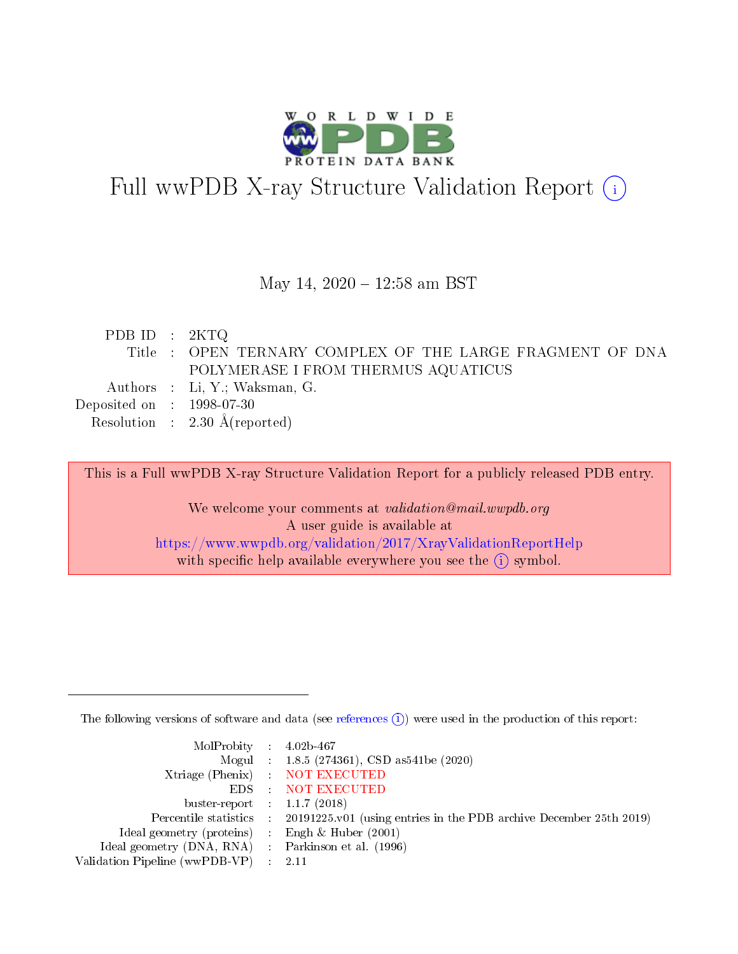

# Full wwPDB X-ray Structure Validation Report (i)

#### May 14, 2020 - 12:58 am BST

| PDB ID : $2KTQ$             |                                                          |
|-----------------------------|----------------------------------------------------------|
|                             | Title: OPEN TERNARY COMPLEX OF THE LARGE FRAGMENT OF DNA |
|                             | POLYMERASE I FROM THERMUS AQUATICUS                      |
|                             | Authors : Li, Y.; Waksman, G.                            |
| Deposited on : $1998-07-30$ |                                                          |
|                             | Resolution : $2.30 \text{ Å}$ (reported)                 |
|                             |                                                          |

This is a Full wwPDB X-ray Structure Validation Report for a publicly released PDB entry.

We welcome your comments at validation@mail.wwpdb.org A user guide is available at <https://www.wwpdb.org/validation/2017/XrayValidationReportHelp> with specific help available everywhere you see the  $(i)$  symbol.

The following versions of software and data (see [references](https://www.wwpdb.org/validation/2017/XrayValidationReportHelp#references)  $(i)$ ) were used in the production of this report:

| MolProbity : $4.02b-467$                            |                                                                                            |
|-----------------------------------------------------|--------------------------------------------------------------------------------------------|
|                                                     | Mogul : $1.8.5$ (274361), CSD as 541be (2020)                                              |
|                                                     | Xtriage (Phenix) NOT EXECUTED                                                              |
|                                                     | EDS : NOT EXECUTED                                                                         |
| buster-report : $1.1.7(2018)$                       |                                                                                            |
|                                                     | Percentile statistics : 20191225.v01 (using entries in the PDB archive December 25th 2019) |
| Ideal geometry (proteins) : Engh $\&$ Huber (2001)  |                                                                                            |
| Ideal geometry (DNA, RNA) : Parkinson et al. (1996) |                                                                                            |
| Validation Pipeline (wwPDB-VP) : 2.11               |                                                                                            |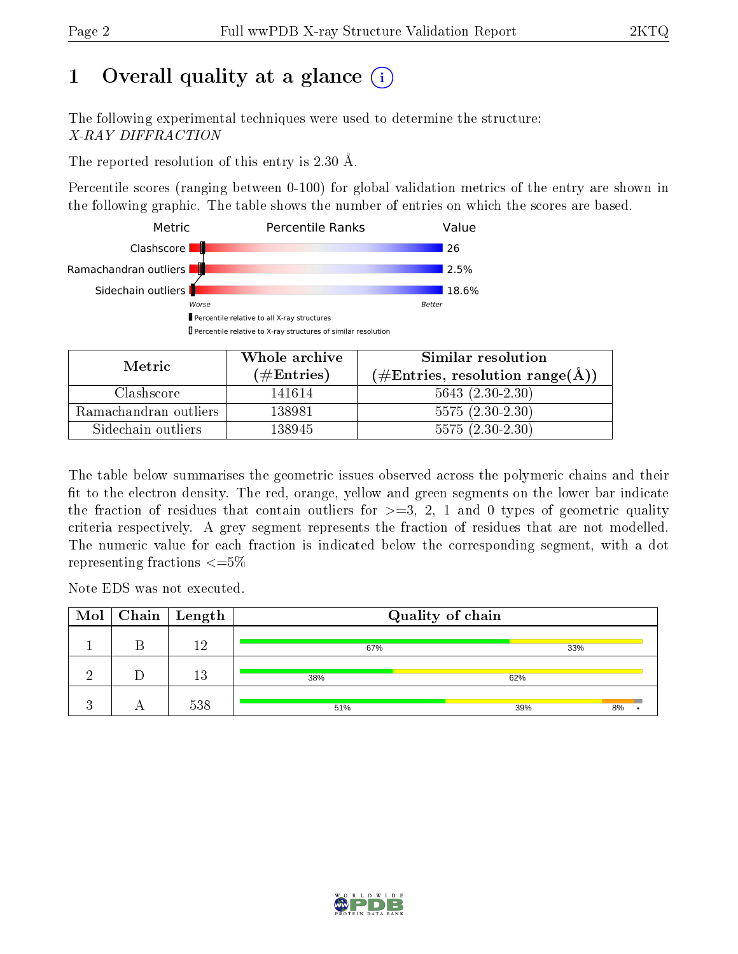# 1 [O](https://www.wwpdb.org/validation/2017/XrayValidationReportHelp#overall_quality)verall quality at a glance  $(i)$

The following experimental techniques were used to determine the structure: X-RAY DIFFRACTION

The reported resolution of this entry is 2.30 Å.

Percentile scores (ranging between 0-100) for global validation metrics of the entry are shown in the following graphic. The table shows the number of entries on which the scores are based.



| Metric                | Whole archive       | Similar resolution                                 |  |  |
|-----------------------|---------------------|----------------------------------------------------|--|--|
|                       | (# $\rm{Entries}$ ) | $(\text{\#Entries, resolution range}(\text{\AA}))$ |  |  |
| Clashscore            | 141614              | $5643 (2.30-2.30)$                                 |  |  |
| Ramachandran outliers | 138981              | $5575(2.30-2.30)$                                  |  |  |
| Sidechain outliers    | 138945              | $5575(2.30-2.30)$                                  |  |  |

The table below summarises the geometric issues observed across the polymeric chains and their fit to the electron density. The red, orange, yellow and green segments on the lower bar indicate the fraction of residues that contain outliers for  $\geq=3$ , 2, 1 and 0 types of geometric quality criteria respectively. A grey segment represents the fraction of residues that are not modelled. The numeric value for each fraction is indicated below the corresponding segment, with a dot representing fractions  $\epsilon = 5\%$ 

Note EDS was not executed.

|  | $\boxed{\text{Mol} \mid \text{Chain} \mid \text{Length}}$ | Quality of chain |           |  |  |
|--|-----------------------------------------------------------|------------------|-----------|--|--|
|  | 19 <sub>1</sub>                                           | 67%              | 33%       |  |  |
|  | 13                                                        | 38%              | 62%       |  |  |
|  | 538                                                       | 51%              | 39%<br>8% |  |  |

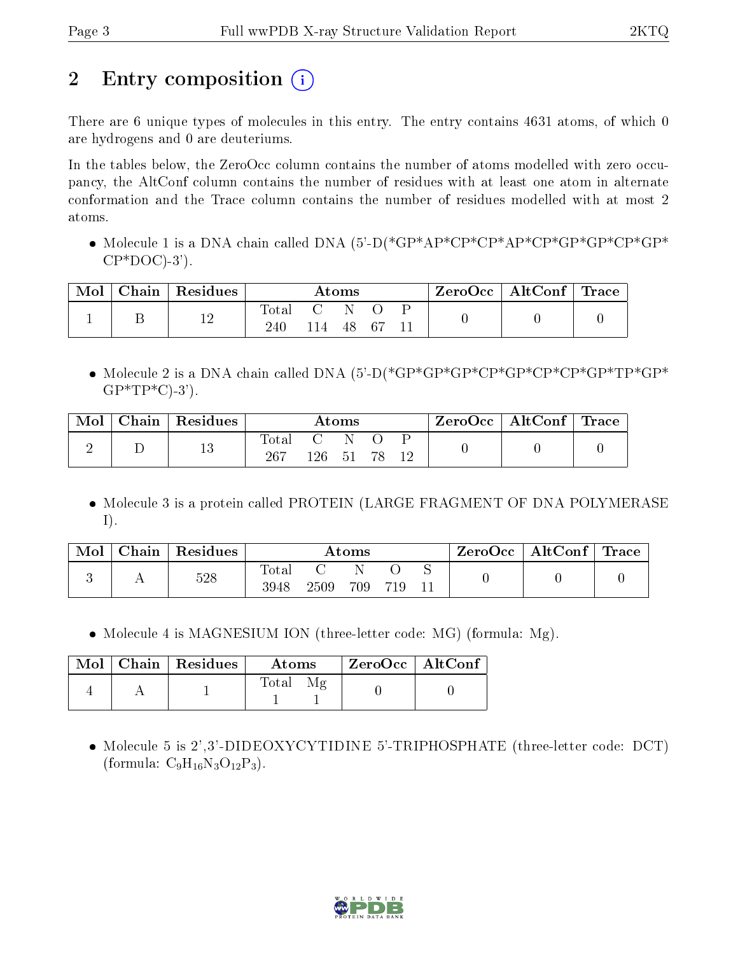# 2 Entry composition  $\left( \cdot \right)$

There are 6 unique types of molecules in this entry. The entry contains 4631 atoms, of which 0 are hydrogens and 0 are deuteriums.

In the tables below, the ZeroOcc column contains the number of atoms modelled with zero occupancy, the AltConf column contains the number of residues with at least one atom in alternate conformation and the Trace column contains the number of residues modelled with at most 2 atoms.

• Molecule 1 is a DNA chain called DNA (5'-D(\*GP\*AP\*CP\*CP\*AP\*CP\*GP\*GP\*CP\*GP\*  $CP*DOC$ )-3').

| Mol | $Chain   Residues$ |                        |     | $\rm{Atoms}$ |      |  | $\rm{ZeroOcc}$   $\rm{AltConf}$   $\rm{Trace}$ |  |
|-----|--------------------|------------------------|-----|--------------|------|--|------------------------------------------------|--|
|     | 12                 | $\rm Total$<br>$240\,$ | 114 | 48           | . 67 |  |                                                |  |

• Molecule 2 is a DNA chain called DNA (5'-D(\*GP\*GP\*GP\*GP\*GP\*CP\*CP\*GP\*TP\*GP\*  $GP*TP*C$ -3').

| Mol | Chain | $\mid$ Residues |                       |     | $\rm{Atoms}$ |  | $\rm{ZeroOcc}$   Alt $\rm{Conf}$   Trace |  |
|-----|-------|-----------------|-----------------------|-----|--------------|--|------------------------------------------|--|
|     |       | 19<br>ΤO        | $\text{Total}$<br>267 | 126 | - 51         |  |                                          |  |

• Molecule 3 is a protein called PROTEIN (LARGE FRAGMENT OF DNA POLYMERASE I).

| Mol | Chain | Residues |               |      | $\rm{Atoms}$ |     |   | " ZeroOcc | $\operatorname{AltConf}$ | $\vert$ Trace |
|-----|-------|----------|---------------|------|--------------|-----|---|-----------|--------------------------|---------------|
|     |       | 528      | Total<br>3948 | 2509 | 709          | 719 | N |           |                          |               |

• Molecule 4 is MAGNESIUM ION (three-letter code: MG) (formula: Mg).

|  | $\text{Mol}$   Chain   Residues | Atoms            | $\mid$ ZeroOcc $\mid$ AltConf $\mid$ |  |
|--|---------------------------------|------------------|--------------------------------------|--|
|  |                                 | $\mathrm{Total}$ |                                      |  |

 Molecule 5 is 2',3'-DIDEOXYCYTIDINE 5'-TRIPHOSPHATE (three-letter code: DCT) (formula:  $C_9H_{16}N_3O_{12}P_3$ ).

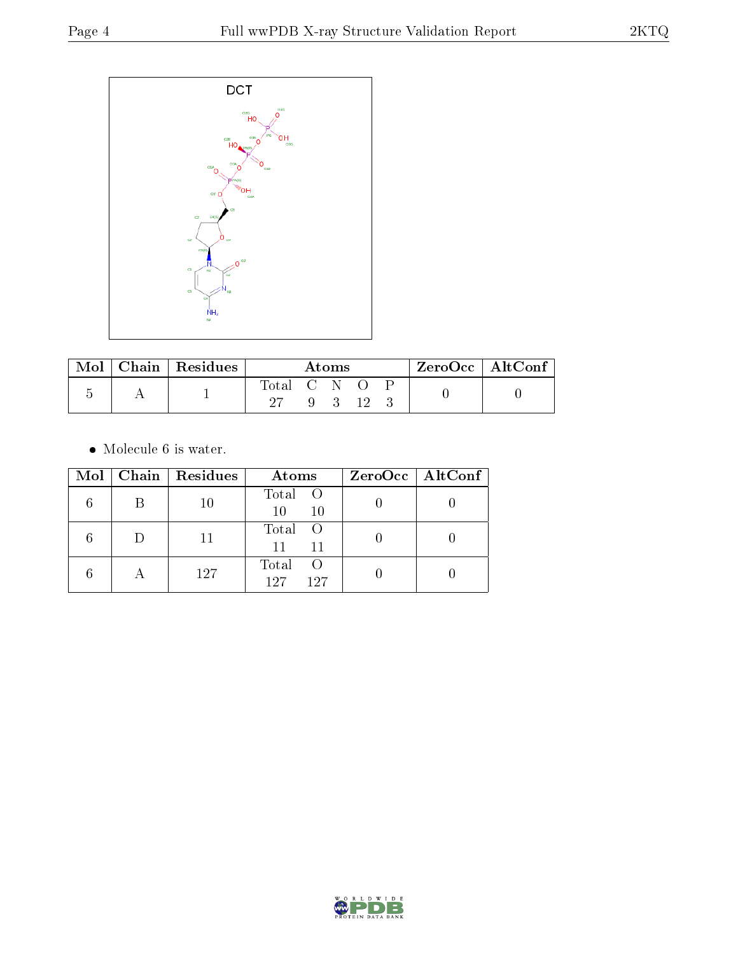

| Mol | Chain   $Residues$ | Atoms       |  |  | ZeroOcc   AltConf |  |  |
|-----|--------------------|-------------|--|--|-------------------|--|--|
|     |                    | Total C N O |  |  | $\rightarrow$     |  |  |

 $\bullet\,$  Molecule 6 is water.

| Mol |   | $\vert$ Chain $\vert$ Residues | Atoms                        | $ZeroOcc \   \$ AltConf |
|-----|---|--------------------------------|------------------------------|-------------------------|
|     | В | 10                             | Total O<br>10<br>10          |                         |
|     |   | 11                             | Total O<br>11<br>11          |                         |
|     | A | 127                            | Total<br>- ( )<br>127<br>197 |                         |

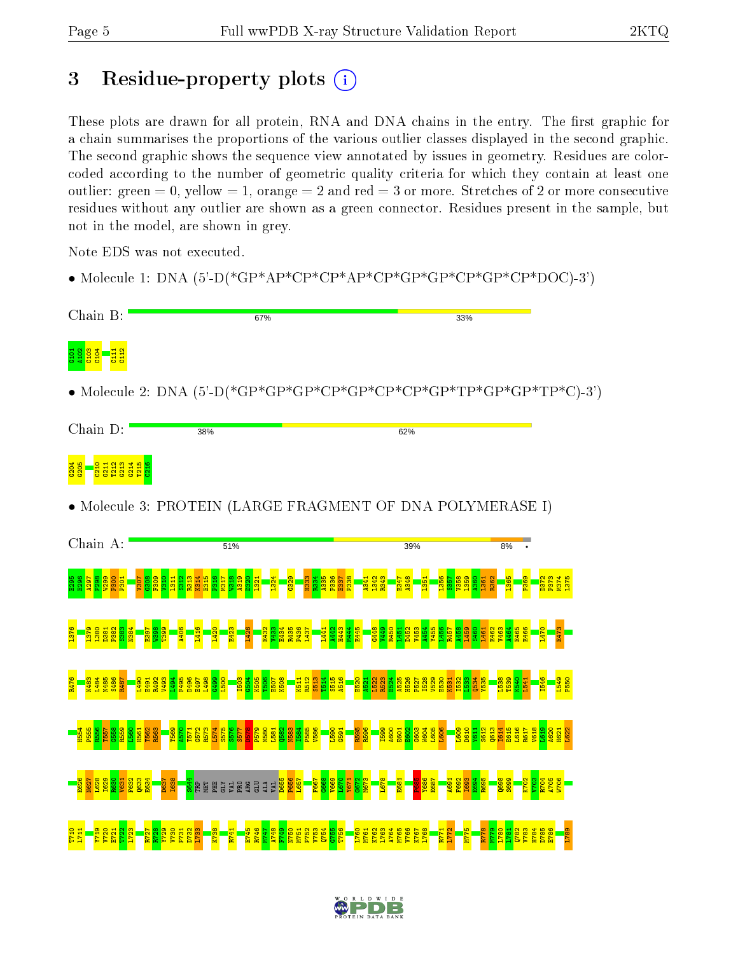# 3 Residue-property plots  $(i)$

These plots are drawn for all protein, RNA and DNA chains in the entry. The first graphic for a chain summarises the proportions of the various outlier classes displayed in the second graphic. The second graphic shows the sequence view annotated by issues in geometry. Residues are colorcoded according to the number of geometric quality criteria for which they contain at least one outlier: green  $= 0$ , yellow  $= 1$ , orange  $= 2$  and red  $= 3$  or more. Stretches of 2 or more consecutive residues without any outlier are shown as a green connector. Residues present in the sample, but not in the model, are shown in grey.

Note EDS was not executed.

• Molecule 1: DNA (5'-D(\*GP\*AP\*CP\*CP\*AP\*CP\*GP\*GP\*CP\*GP\*CP\*DOC)-3')



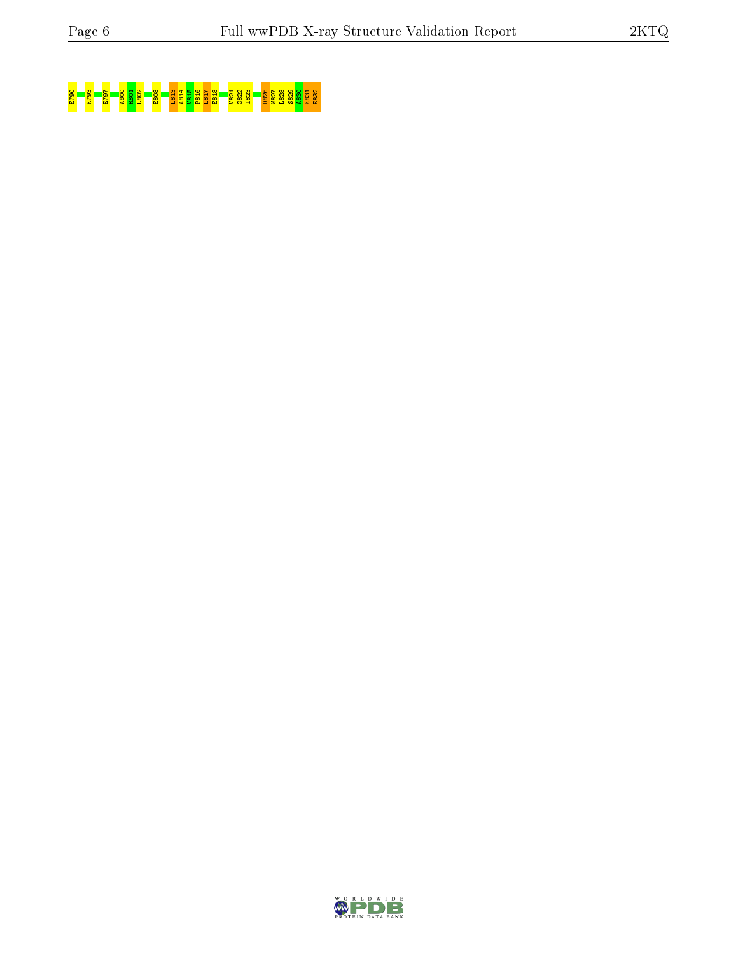# E790 K793 E797 A800 R801 L802 E808 L813 A814 V815 P816 L817 E818 V821 G822 I823 D826 W827 L828 S829 A830 K831 E832

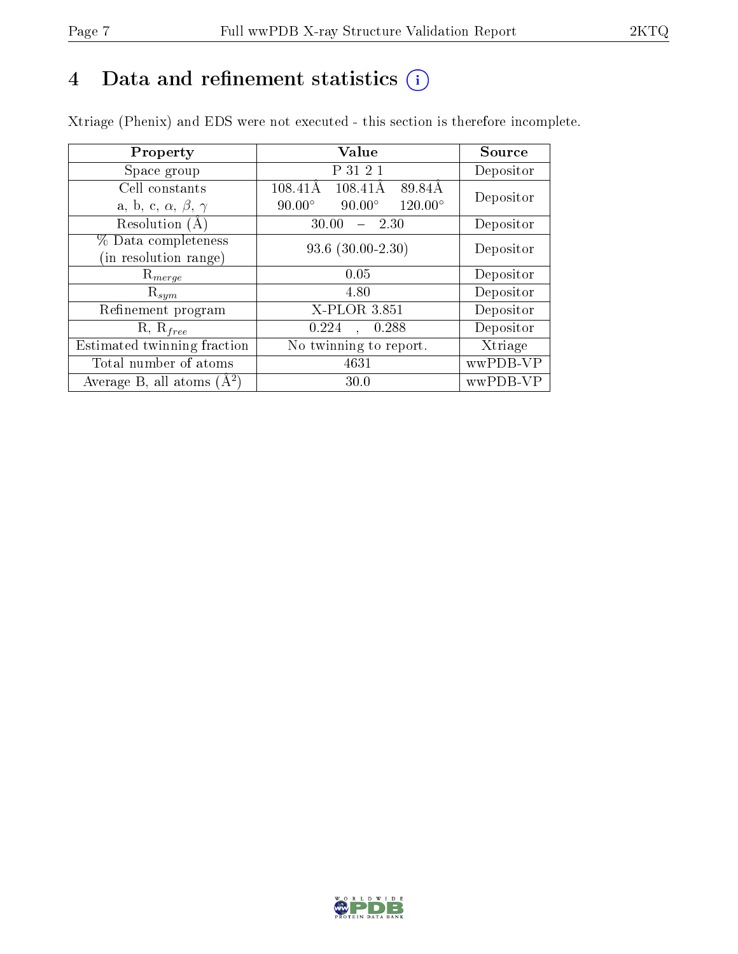# 4 Data and refinement statistics  $(i)$

Xtriage (Phenix) and EDS were not executed - this section is therefore incomplete.

| Property                               | <b>Value</b>                                     | Source    |  |
|----------------------------------------|--------------------------------------------------|-----------|--|
| Space group                            | P 31 2 1                                         | Depositor |  |
| Cell constants                         | 108.41Å<br>89.84Å<br>108.41Å                     | Depositor |  |
| a, b, c, $\alpha$ , $\beta$ , $\gamma$ | $120.00^\circ$<br>$90.00^\circ$<br>$90.00^\circ$ |           |  |
| Resolution $(A)$                       | 30.00<br>- 2.30                                  | Depositor |  |
| % Data completeness                    | $93.6$ $(30.00-2.30)$                            | Depositor |  |
| (in resolution range)                  |                                                  |           |  |
| $\mathrm{R}_{merge}$                   | 0.05                                             | Depositor |  |
| $\mathrm{R}_{sym}$                     | 4.80                                             | Depositor |  |
| Refinement program                     | X-PLOR 3.851                                     | Depositor |  |
| $R, R_{free}$                          | 0.224<br>0.288<br>$\ddot{\phantom{a}}$           | Depositor |  |
| Estimated twinning fraction            | No twinning to report.                           | Xtriage   |  |
| Total number of atoms                  | 4631                                             | wwPDB-VP  |  |
| Average B, all atoms $(A^2)$           | 30.0                                             | wwPDB-VP  |  |

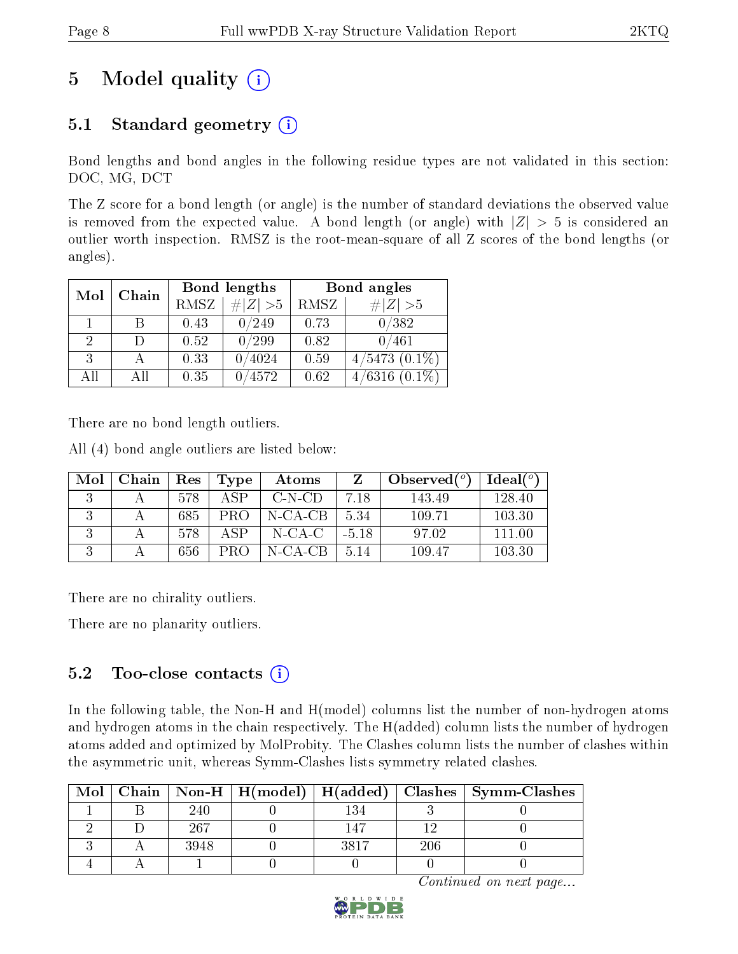# 5 Model quality  $(i)$

## 5.1 Standard geometry  $(i)$

Bond lengths and bond angles in the following residue types are not validated in this section: DOC, MG, DCT

The Z score for a bond length (or angle) is the number of standard deviations the observed value is removed from the expected value. A bond length (or angle) with  $|Z| > 5$  is considered an outlier worth inspection. RMSZ is the root-mean-square of all Z scores of the bond lengths (or angles).

| Mol | Chain |             | Bond lengths    | Bond angles |                    |  |
|-----|-------|-------------|-----------------|-------------|--------------------|--|
|     |       | <b>RMSZ</b> | $\# Z  > 5$     | RMSZ        | # Z  > 5           |  |
|     |       | 0.43        | $^{\prime}249$  | 0.73        | 0/382              |  |
| 2   |       | 0.52        | $^\prime299$    | 0.82        | 0/461              |  |
| 3   |       | 0.33        | 0/4024          | 0.59        | $4/5473$ $(0.1\%)$ |  |
| AH  | Аll   | 0.35        | $^{\prime}4572$ | 0.62        | /6316              |  |

There are no bond length outliers.

All (4) bond angle outliers are listed below:

| Mol | Chain | $\mathbf{Res}$ | Type | Atoms      |         | Observed $(°)$ | Ideal $(°)$ |
|-----|-------|----------------|------|------------|---------|----------------|-------------|
|     |       | 578            | A SP | $C-N-CD$   | 7.18    | 143.49         | 128.40      |
|     |       | 685            | PRO  | $N$ -CA-CB | 5.34    | 109.71         | 103.30      |
|     |       | 578            | A SP | N-CA-C     | $-5.18$ | 97.02          | 111.00      |
|     |       | 656            | PRO  | N-CA-CB    | 5.14    | 109.47         | 103.30      |

There are no chirality outliers.

There are no planarity outliers.

#### $5.2$  Too-close contacts  $(i)$

In the following table, the Non-H and H(model) columns list the number of non-hydrogen atoms and hydrogen atoms in the chain respectively. The H(added) column lists the number of hydrogen atoms added and optimized by MolProbity. The Clashes column lists the number of clashes within the asymmetric unit, whereas Symm-Clashes lists symmetry related clashes.

| Mol |      |      |     | Chain   Non-H   H(model)   H(added)   Clashes   Symm-Clashes |
|-----|------|------|-----|--------------------------------------------------------------|
|     | 240  |      |     |                                                              |
|     | -267 |      |     |                                                              |
|     | 3948 | 3817 | 206 |                                                              |
|     |      |      |     |                                                              |

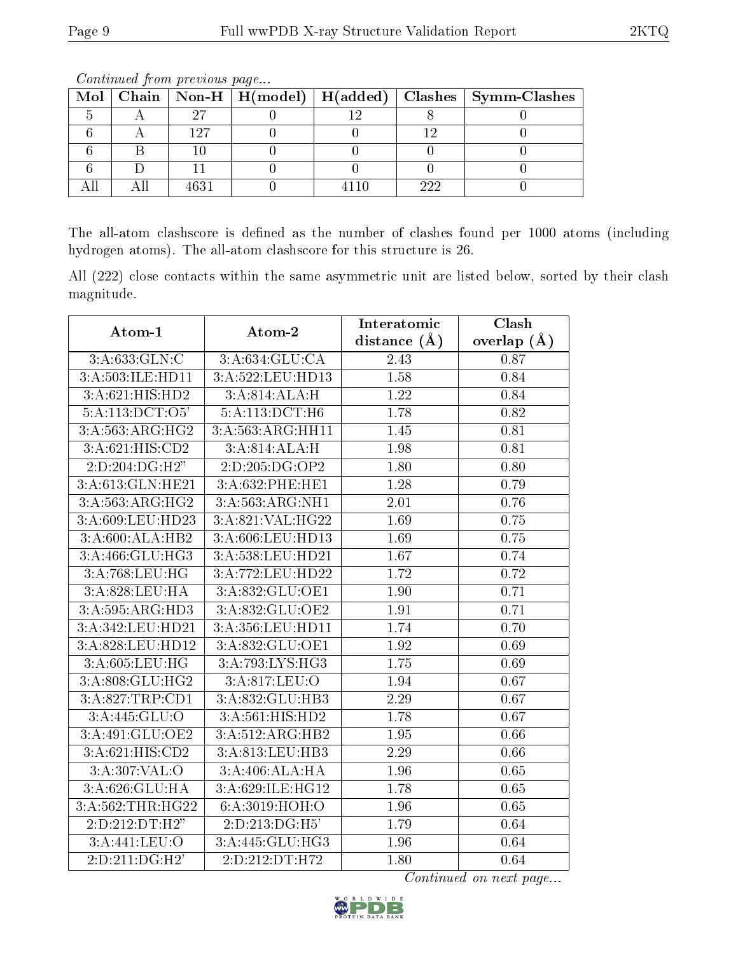|  |     |  |     | Mol   Chain   Non-H   H(model)   H(added)   Clashes   Symm-Clashes |
|--|-----|--|-----|--------------------------------------------------------------------|
|  |     |  |     |                                                                    |
|  | 197 |  |     |                                                                    |
|  |     |  |     |                                                                    |
|  |     |  |     |                                                                    |
|  |     |  | າາງ |                                                                    |

The all-atom clashscore is defined as the number of clashes found per 1000 atoms (including hydrogen atoms). The all-atom clashscore for this structure is 26.

All (222) close contacts within the same asymmetric unit are listed below, sorted by their clash magnitude.

| Atom-1                              | Atom-2               | Clash<br>Interatomic |               |  |
|-------------------------------------|----------------------|----------------------|---------------|--|
|                                     |                      | distance $(A)$       | overlap $(A)$ |  |
| 3:A:633:GLN:C                       | 3:A:634:GLU:CA       | 2.43                 | 0.87          |  |
| 3:A:503:ILE:HD11                    | 3: A: 522: LEU: HD13 | 1.58                 | 0.84          |  |
| $3:A:621:\overline{\text{HIS:HD2}}$ | 3:A:814:ALA:H        | 1.22                 | 0.84          |  |
| $5:A:113:\overline{DCT:O5'}$        | 5:A:113:DCT:H6       | 1.78                 | 0.82          |  |
| 3:A:563:ARG:HG2                     | 3:A:563:ARG:HH11     | 1.45                 | 0.81          |  |
| 3:A:621:HIS:CD2                     | 3:A:814:ALA:H        | 1.98                 | 0.81          |  |
| 2:D:204:DG:H2"                      | 2:D:205:DG:OP2       | 1.80                 | 0.80          |  |
| 3:A:613:GLN:HE21                    | 3:A:632:PHE:HE1      | 1.28                 | 0.79          |  |
| 3:A:563:ARG:HG2                     | 3:A:563:ARG:NH1      | 2.01                 | 0.76          |  |
| 3:A:609:LEU:HD23                    | 3:A:821:VAL:HG22     | 1.69                 | 0.75          |  |
| 3:A:600:ALA:HB2                     | 3:A:606:LEU:HD13     | 1.69                 | 0.75          |  |
| 3: A:466: GLU:HG3                   | 3:A:538:LEU:HD21     | 1.67                 | 0.74          |  |
| 3:A:768:LEU:HG                      | 3:A:772:LEU:HD22     | 1.72                 | 0.72          |  |
| 3:A:828:LEU:HA                      | 3:A:832:GLU:OE1      | 1.90                 | 0.71          |  |
| 3:A:595:ARG:HD3                     | 3:A:832:GLU:OE2      | 1.91                 | 0.71          |  |
| 3:A:342:LEU:HD21                    | 3:A:356:LEU:HD11     | 1.74                 | 0.70          |  |
| 3:A:828:LEU:HD12                    | 3:A:832:GLU:OE1      | 1.92                 | 0.69          |  |
| 3:A:605:LEU:HG                      | 3:A:793:LYS:HG3      | 1.75                 | 0.69          |  |
| 3:A:808:GLU:HG2                     | 3:A:817:LEU:O        | 1.94                 | 0.67          |  |
| 3:A:827:TRP:CD1                     | 3:A:832:GLU:HB3      | $\overline{2.29}$    | 0.67          |  |
| 3:A:445:GLU:O                       | 3:A:561:HIS:HD2      | 1.78                 | 0.67          |  |
| 3:A:491:GLU:OE2                     | 3:A:512:ARG:HB2      | $\overline{1.95}$    | 0.66          |  |
| 3:A:621:HIS:CD2                     | 3:A:813:LEU:HB3      | 2.29                 | 0.66          |  |
| 3:A:307:VAL:O                       | 3:A:406:ALA:HA       | 1.96                 | 0.65          |  |
| 3:A:626:GLU:HA                      | 3:A:629:ILE:HG12     | 1.78                 | 0.65          |  |
| 3:A:562:THR:HG22                    | 6:A:3019:HOH:O       | 1.96                 | 0.65          |  |
| 2:D:212:DT:H2"                      | 2:D:213:DG:H5'       | 1.79                 | 0.64          |  |
| 3: A:441:LEU:O                      | 3:A:445:GLU:HG3      | 1.96                 | 0.64          |  |
| 2:D:211:DG:H2'                      | 2:D:212:DT:H72       | 1.80                 | 0.64          |  |

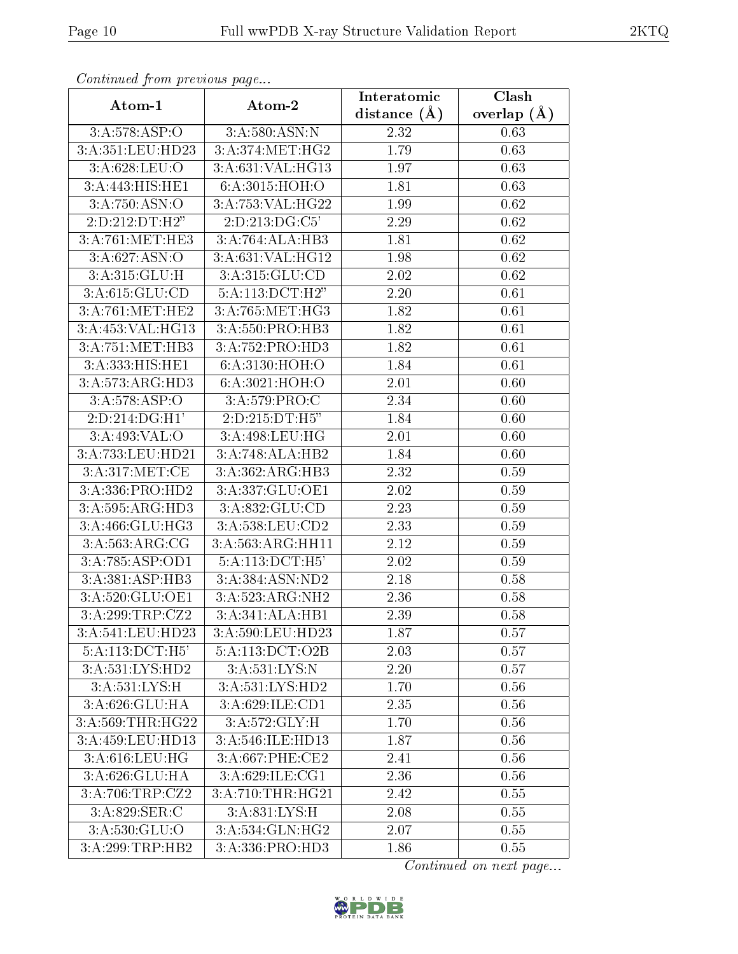| Continuea jioin pievivus page       |                              | Interatomic    | Clash         |
|-------------------------------------|------------------------------|----------------|---------------|
| Atom-1                              | Atom-2                       | distance $(A)$ | overlap $(A)$ |
| 3:A:578:ASP:O                       | 3:A:580:ASN:N                | 2.32           | 0.63          |
| 3:A:351:LEU:HD23                    | 3:A:374:MET:HG2              | 1.79           | 0.63          |
| 3:A:628:LEU:O                       | 3:A:631:VAL:HG13             | 1.97           | 0.63          |
| 3:A:443:HIS:HE1                     | 6:A:3015:HOH:O               | 1.81           | 0.63          |
| 3:A:750:ASN:O                       | 3:A:753:VAL:HG22             | 1.99           | 0.62          |
| $2:D:212:D\overline{T:H2"}$         | 2:D:213:DG:C5'               | 2.29           | 0.62          |
| 3: A:761:MET:HE3                    | 3:A:764:ALA:HB3              | 1.81           | 0.62          |
| 3: A:627: ASN:O                     | 3:A:631:VAL:HG12             | 1.98           | 0.62          |
| 3:A:315:GLU:H                       | 3: A:315: GLU:CD             | 2.02           | 0.62          |
| 3:A:615:GLU:CD                      | 5:A:113:DCT:H2"              | 2.20           | 0.61          |
| 3:A:761:MET:HE2                     | 3: A:765:MET:HG3             | 1.82           | 0.61          |
| 3:A:453:VAL:HG13                    | 3:A:550:PRO:HB3              | 1.82           | 0.61          |
| 3:A:751:MET:HB3                     | 3:A:752:PRO:HD3              | 1.82           | 0.61          |
| $3:A:333:HIS:\overline{HE1}$        | 6:A:3130:HOH:O               | 1.84           | 0.61          |
| 3:A:573:ARG:HD3                     | 6:A:3021:HOH:O               | 2.01           | 0.60          |
| 3:A:578:ASP:O                       | 3: A:579: PRO:CC             | 2.34           | 0.60          |
| 2:D:214:DG:H1'                      | 2:D:215:DT:H5"               | 1.84           | 0.60          |
| 3:A:493:VAL:O                       | 3:A:498:LEU:HG               | 2.01           | 0.60          |
| 3:A:733:LEU:HD21                    | 3:A:748:ALA:HB2              | 1.84           | 0.60          |
| 3:A:317:MET:CE                      | 3:A:362:ARG:HB3              | 2.32           | 0.59          |
| 3:A:336:PRO:HD2                     | 3:A:337:GLU:OE1              | 2.02           | 0.59          |
| 3:A:595:ARG:HD3                     | 3:A:832:GLU:CD               | 2.23           | 0.59          |
| 3:A:466:GLU:HG3                     | 3:A:538:LEU:CD2              | 2.33           | 0.59          |
| 3: A:563:ARG:CG                     | 3:A:563:ARG:HH11             | 2.12           | 0.59          |
| 3:A:785:ASP:OD1                     | 5:A:113:DCT:H5'              | 2.02           | 0.59          |
| 3:A:381:ASP:HB3                     | 3:A:384:ASN:ND2              | 2.18           | 0.58          |
| 3:A:520:GLU:OE1                     | 3:A:523:ARG:NH2              | 2.36           | 0.58          |
| 3:A:299:TRP:CZ2                     | 3:A:341:ALA:HB1              | 2.39           | 0.58          |
| 3:A:541:LEU:HD23                    | 3:A:590:LEU:HD23             | 1.87           | 0.57          |
| $5:A:113:\overline{DCT:H5'}$        | 5:A:113:DCT:O2B              | 2.03           | 0.57          |
| $3:A:531:\overline{\text{LYS:HD2}}$ | 3:A:531:LYS:N                | 2.20           | 0.57          |
| 3:A:531:LYS:H                       | $3:A:531:LYS:\overline{HD2}$ | 1.70           | 0.56          |
| 3:A:626:GLU:HA                      | 3:A:629:ILE:CD1              | 2.35           | 0.56          |
| 3:A:569:THR:HG22                    | 3:A:572:GLY:H                | 1.70           | 0.56          |
| 3:A:459:LEU:HD13                    | 3:A:546:ILE:HD13             | 1.87           | 0.56          |
| 3:A:616:LEU:HG                      | 3:A:667:PHE:CE2              | 2.41           | 0.56          |
| 3:A:626:GLU:HA                      | 3:A:629:ILE:CG1              | 2.36           | 0.56          |
| 3:A:706:TRP:CZ2                     | 3:A:710:THR:HG21             | 2.42           | 0.55          |
| 3:A:829:SER:C                       | 3:A:831:LYS:H                | 2.08           | 0.55          |
| 3:A:530:GLU:O                       | 3:A:534:GLN:HG2              | 2.07           | 0.55          |
| 3:A:299:TRP:HB2                     | 3:A:336:PRO:HD3              | 1.86           | 0.55          |

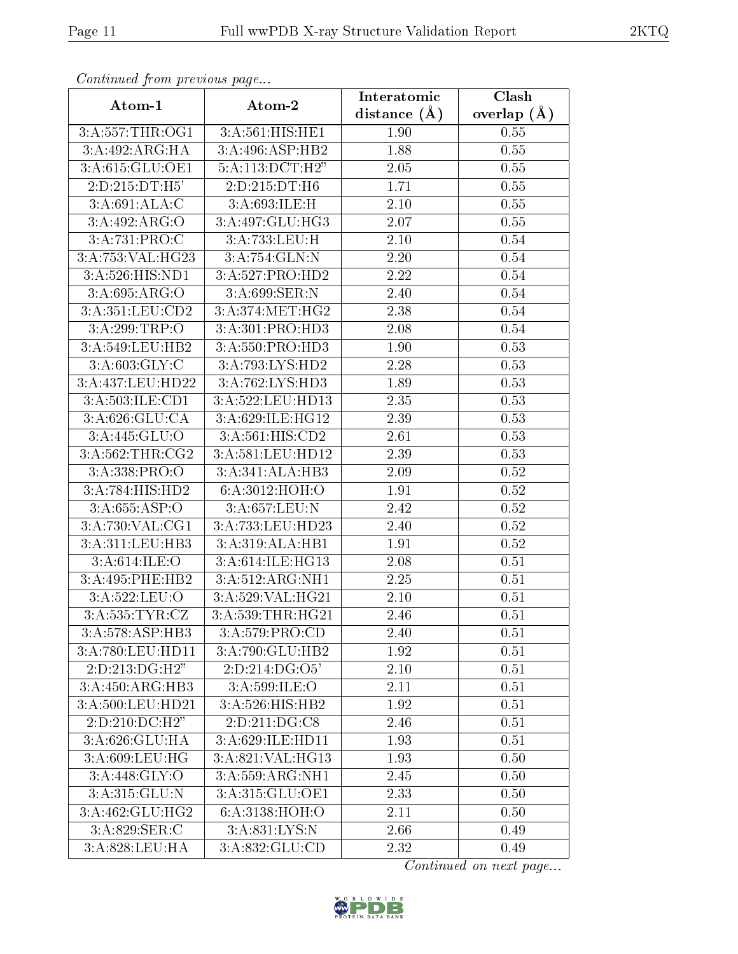| сонинией јтот ртеvиоиз раде |                            | Interatomic       | Clash         |
|-----------------------------|----------------------------|-------------------|---------------|
| Atom-1                      | Atom-2                     | distance $(A)$    | overlap $(A)$ |
| 3:A:557:THR:OG1             | 3:A:561:HIS:HE1            | 1.90              | 0.55          |
| 3:A:492:ARG:HA              | 3:A:496:ASP:HB2            | 1.88              | 0.55          |
| 3:A:615:GLU:OE1             | 5:A:113:DCT:H2"            | 2.05              | 0.55          |
| 2:D:215:DT:H5'              | 2:D:215:DT:H6              | 1.71              | 0.55          |
| 3:A:691:ALA:C               | 3:A:693:ILE:H              | $2.10\,$          | 0.55          |
| 3:A:492:ARG:O               | 3:A:497:GLU:HG3            | 2.07              | 0.55          |
| 3:A:731:PRO:C               | 3:A:733:LEU:H              | 2.10              | 0.54          |
| 3:A:753:VAL:HG23            | 3:A:754:GLN:N              | 2.20              | 0.54          |
| 3:A:526:HIS:ND1             | 3:A:527:PRO:HD2            | 2.22              | 0.54          |
| 3:A:695:ARG:O               | 3:A:699:SER:N              | 2.40              | 0.54          |
| 3:A:351:LEU:CD2             | 3: A:374:MET:HG2           | 2.38              | 0.54          |
| 3:A:299:TRP:O               | 3:A:301:PRO:HD3            | 2.08              | 0.54          |
| 3:A:549:LEU:HB2             | 3:A:550:PRO:HD3            | 1.90              | 0.53          |
| 3: A:603: GLY: C            | 3:A:793:LYS:HD2            | 2.28              | 0.53          |
| 3:A:437:LEU:HD22            | 3:A:762:LYS:HD3            | 1.89              | 0.53          |
| 3:A:503:ILE:CD1             | 3:A:522:LEU:HD13           | 2.35              | 0.53          |
| 3: A:626: GLU:CA            | 3:A:629:ILE:HG12           | 2.39              | 0.53          |
| 3: A:445: GLU:O             | 3:A:561:HIS:CD2            | 2.61              | 0.53          |
| 3:A:562:THR:CG2             | 3:A:581:LEU:HD12           | 2.39              | 0.53          |
| 3:A:338:PRO:O               | 3:A:341:ALA:HB3            | 2.09              | 0.52          |
| 3:A:784:HIS:HD2             | 6:A:3012:HOH:O             | 1.91              | 0.52          |
| 3:A:655:ASP:O               | 3:A:657:LEU:N              | 2.42              | 0.52          |
| 3:A:730:VAL:CG1             | 3:A:733:LEU:HD23           | 2.40              | 0.52          |
| 3:A:311:LEU:HB3             | 3:A:319:ALA:HB1            | $\overline{1}.91$ | 0.52          |
| 3:A:614:ILE:O               | 3:A:614:ILE:HG13           | 2.08              | 0.51          |
| 3:A:495:PHE:HB2             | 3:A:512:ARG:NH1            | 2.25              | 0.51          |
| 3:A:522:LEU:O               | 3:A:529:VAL:HG21           | 2.10              | 0.51          |
| 3:A:535:TYR:CZ              | 3:A:539:THR:HG21           | 2.46              | 0.51          |
| 3:A:578:ASP:HB3             | 3:A:579:PRO:CD             | 2.40              | 0.51          |
| 3: A:780:LEU:HD11           | 3:A:790:GLU:HB2            | 1.92              | 0.51          |
| 2:D:213:DG:H2"              | $2:D:214:D\overline{G:O5}$ | 2.10              | 0.51          |
| 3:A:450:ARG:HB3             | 3: A:599: ILE: O           | 2.11              | 0.51          |
| 3:A:500:LEU:HD21            | 3:A:526:HIS:HB2            | 1.92              | 0.51          |
| 2:D:210:DC:H2"              | 2:D:211:DG:CS              | 2.46              | 0.51          |
| 3:A:626:GLU:HA              | 3:A:629:ILE:HD11           | 1.93              | 0.51          |
| 3:A:609:LEU:HG              | 3:A:821:VAL:HG13           | 1.93              | 0.50          |
| 3: A:448: GLY:O             | 3:A:559:ARG:NH1            | 2.45              | 0.50          |
| 3:A:315:GLU:N               | 3:A:315:GLU:OE1            | 2.33              | 0.50          |
| 3:A:462:GLU:HG2             | 6: A:3138:HOH:O            | 2.11              | 0.50          |
| 3:A:829:SER:C               | 3:A:831:LYS:N              | 2.66              | 0.49          |
| 3:A:828:LEU:HA              | 3:A:832:GLU:CD             | 2.32              | 0.49          |

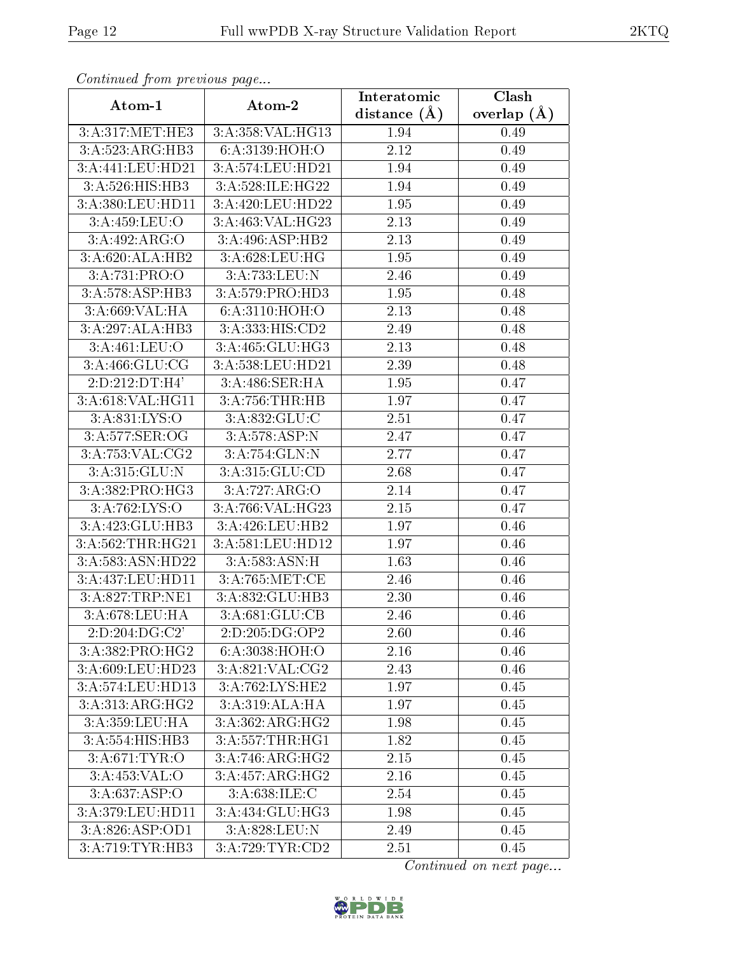| Continuea from previous page       |                              | Interatomic    | $\overline{\text{Clash}}$ |
|------------------------------------|------------------------------|----------------|---------------------------|
| Atom-1                             | Atom-2                       | distance $(A)$ | overlap $(A)$             |
| 3:A:317:MET:HE3                    | 3:A:358:VAL:HG13             | 1.94           | 0.49                      |
| 3:A:523:ARG:HB3                    | 6:A:3139:HOH:O               | 2.12           | 0.49                      |
| 3:A:441:LEU:HD21                   | 3:A:574:LEU:HD21             | 1.94           | 0.49                      |
| 3:A:526:HIS:HB3                    | 3:A:528:ILE:HG22             | 1.94           | 0.49                      |
| 3:A:380:LEU:HD11                   | 3:A:420:LEU:HD22             | 1.95           | 0.49                      |
| 3:A:459:LEU:O                      | 3:A:463:VAL:HG23             | 2.13           | 0.49                      |
| 3:A:492:ARG:O                      | 3:A:496:ASP:HB2              | 2.13           | 0.49                      |
| 3:A:620:ALA:HB2                    | 3: A:628: LEU: HG            | 1.95           | 0.49                      |
| 3: A:731: PRO:O                    | 3:A:733:LEU:N                | 2.46           | 0.49                      |
| 3:A:578:ASP:HB3                    | 3:A:579:PRO:HD3              | 1.95           | 0.48                      |
| 3:A:669:VAL:HA                     | 6: A:3110:HOH:O              | 2.13           | 0.48                      |
| 3:A:297:ALA:HB3                    | 3:A:333:HIS:CD2              | 2.49           | 0.48                      |
| 3:A:461:LEU:O                      | 3:A:465:GLU:HG3              | 2.13           | 0.48                      |
| 3:A:466:GLU:CG                     | 3:A:538:LEU:HD21             | 2.39           | 0.48                      |
| 2:D:212:DT:H4'                     | 3:A:486:SER:HA               | 1.95           | 0.47                      |
| 3:A:618:VAL:HG11                   | 3:A:756:THR:HB               | 1.97           | 0.47                      |
| 3:A:831:LYS:O                      | 3:A:832:GLU:C                | 2.51           | 0.47                      |
| 3:A:577:SER:OG                     | 3:A:578:ASP:N                | 2.47           | 0.47                      |
| 3:A:753:VAL:CG2                    | 3:A:754:GLN:N                | 2.77           | 0.47                      |
| 3:A:315:GLU:N                      | 3:A:315:GLU:CD               | 2.68           | 0.47                      |
| 3:A:382:PRO:HG3                    | 3:A:727:ARG:O                | 2.14           | 0.47                      |
| 3:A:762:LYS:O                      | 3:A:766:VAL:HG23             | 2.15           | 0.47                      |
| 3:A:423:GLU:HB3                    | 3:A:426:LEU:HB2              | 1.97           | 0.46                      |
| 3:A:562:THR:HG21                   | 3:A:581:LEU:HD12             | 1.97           | 0.46                      |
| 3:A:583:ASN:HD22                   | 3:A:583:ASN:H                | 1.63           | 0.46                      |
| 3:A:437:LEU:HD11                   | 3:A:765:MET:CE               | 2.46           | 0.46                      |
| 3:A:827:TRP:NE1                    | 3:A:832:GLU:HB3              | 2.30           | 0.46                      |
| 3:A:678:LEU:HA                     | 3:A:681:GLU:CB               | 2.46           | 0.46                      |
| $2:D:204:D\overline{G:C2'}$        | 2:D:205:DG:OP2               | 2.60           | 0.46                      |
| 3:A:382:PRO:HG2                    | 6:A:3038:HOH:O               | $2.16\,$       | 0.46                      |
| 3:A:609:LEU:HD23                   | 3: A:821: VAL: CG2           | 2.43           | 0.46                      |
| 3:A:574:LEU:HD13                   | $3:A:762:LYS:\overline{HE2}$ | 1.97           | 0.45                      |
| 3:A:313:ARG:HG2                    | 3:A:319:ALA:HA               | 1.97           | 0.45                      |
| 3:A:359:LEU:HA                     | 3:A:362:ARG:HG2              | 1.98           | 0.45                      |
| $3:A:554:HIS:H\overline{B3}$       | 3:A:557:THR:HGI              | 1.82           | 0.45                      |
| $3: A:671:\overline{\text{TYR}:O}$ | 3:A:746:ARG:HG2              | 2.15           | 0.45                      |
| 3:A:453:VAL:O                      | 3:A:457:ARG:HG2              | 2.16           | 0.45                      |
| 3:A:637:ASP:O                      | 3:A:638:ILE:C                | 2.54           | 0.45                      |
| 3:A:379:LEU:HD11                   | 3:A:434:GLU:HG3              | 1.98           | 0.45                      |
| 3:A:826:ASP:OD1                    | 3:A:828:LEU:N                | 2.49           | 0.45                      |
| 3:A:719:TYR:HB3                    | 3:A:729:TYR:CD2              | 2.51           | 0.45                      |

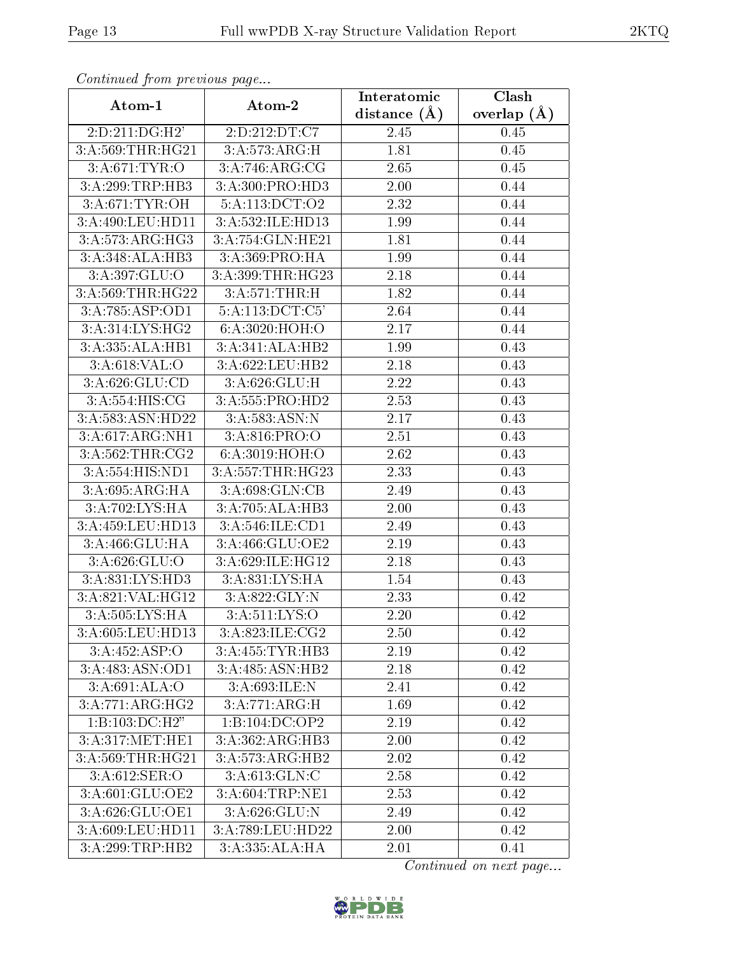| connuncu jioin previous page |                                   | Interatomic    | Clash           |
|------------------------------|-----------------------------------|----------------|-----------------|
| Atom-1                       | Atom-2                            | distance $(A)$ | overlap $(\AA)$ |
| 2:D:211:DG:H2'               | 2:D:212:DT:C7                     | 2.45           | 0.45            |
| 3:A:569:THR:HG21             | 3:A:573:ARG:H                     | 1.81           | 0.45            |
| 3: A:671: TYR:O              | 3:A:746:ARG:CG                    | 2.65           | 0.45            |
| 3:A:299:TRP:HB3              | 3:A:300:PRO:HD3                   | 2.00           | 0.44            |
| 3: A:671:TYR:OH              | 5:A:113:DCT:O2                    | 2.32           | 0.44            |
| 3:A:490:LEU:HD11             | 3:A:532:ILE:HD13                  | 1.99           | 0.44            |
| 3: A:573:ARG:HG3             | 3:A:754:GLN:HE21                  | 1.81           | 0.44            |
| 3:A:348:ALA:HB3              | 3:A:369:PRO:HA                    | 1.99           | 0.44            |
| 3:A:397:GLU:O                | 3:A:399:THR:HG23                  | 2.18           | 0.44            |
| 3:A:569:THR:HG22             | $3:A:571:\overline{\text{THR:H}}$ | 1.82           | 0.44            |
| 3:A:785:ASP:OD1              | 5:A:113:DCT:C5'                   | 2.64           | 0.44            |
| 3:A:314:LYS:HG2              | 6:A:3020:HOH:O                    | 2.17           | 0.44            |
| 3:A:335:ALA:HB1              | 3:A:341:ALA:HB2                   | 1.99           | 0.43            |
| 3: A:618: VAL:O              | 3:A:622:LEU:HB2                   | 2.18           | 0.43            |
| 3:A:626:GLU:CD               | 3:A:626:GLU:H                     | 2.22           | 0.43            |
| 3: A:554: HIS: CG            | 3:A:555:PRO:HD2                   | 2.53           | 0.43            |
| 3:A:583:ASN:HD22             | 3:A:583:ASN:N                     | 2.17           | 0.43            |
| 3:A:617:ARG:NH1              | 3: A:816: PRO:O                   | 2.51           | 0.43            |
| 3:A:562:THR:CG2              | 6:A:3019:HOH:O                    | 2.62           | 0.43            |
| 3:A:554:HIS:ND1              | 3:A:557:THR:HG23                  | 2.33           | 0.43            |
| 3:A:695:ARG:HA               | 3:A:698:GLN:CB                    | 2.49           | 0.43            |
| 3:A:702:LYS:HA               | 3:A:705:ALA:HB3                   | 2.00           | 0.43            |
| 3:A:459:LEU:HD13             | 3:A:546:ILE:CD1                   | 2.49           | 0.43            |
| 3:A:466:GLU:HA               | 3:A:466:GLU:OE2                   | 2.19           | 0.43            |
| 3:A:626:GLU:O                | 3:A:629:ILE:HG12                  | 2.18           | 0.43            |
| 3:A:831:LYS:HD3              | 3:A:831:LYS:HA                    | 1.54           | 0.43            |
| 3:A:821:VAL:HG12             | 3:A:822:GLY:N                     | 2.33           | 0.42            |
| $3:A:505:LYS:\overline{HA}$  | $3: A:511:LY\overline{S:O}$       | 2.20           | 0.42            |
| 3:A:605:LEU:HD13             | 3:A:823:ILE:CG2                   | 2.50           | 0.42            |
| 3:A:452:ASP:O                | 3:A:455:TYR:HB3                   | 2.19           | 0.42            |
| 3:A:483:ASN:OD1              | 3:A:485:ASN:HB2                   | 2.18           | 0.42            |
| 3:A:691:ALA:O                | 3:A:693:ILE:N                     | 2.41           | 0.42            |
| 3:A:771:ARG:HG2              | 3:A:771:ARG:H                     | 1.69           | 0.42            |
| 1:B:103:DC:H2"               | 1:B:104:DC:OP2                    | 2.19           | 0.42            |
| 3:A:317:MET:HE1              | 3:A:362:ARG:HB3                   | 2.00           | 0.42            |
| 3:A:569:THR:HG21             | 3:A:573:ARG:HB2                   | 2.02           | 0.42            |
| 3: A:612: SER:O              | 3:A:613:GLN:C                     | 2.58           | 0.42            |
| 3:A:601:GLU:OE2              | 3:A:604:TRP:NE1                   | 2.53           | 0.42            |
| 3:A:626:GLU:OE1              | 3:A:626:GLU:N                     | 2.49           | 0.42            |
| 3:A:609:LEU:HD11             | 3:A:789:LEU:HD22                  | 2.00           | 0.42            |
| 3:A:299:TRP:HB2              | 3:A:335:ALA:HA                    | 2.01           | 0.41            |

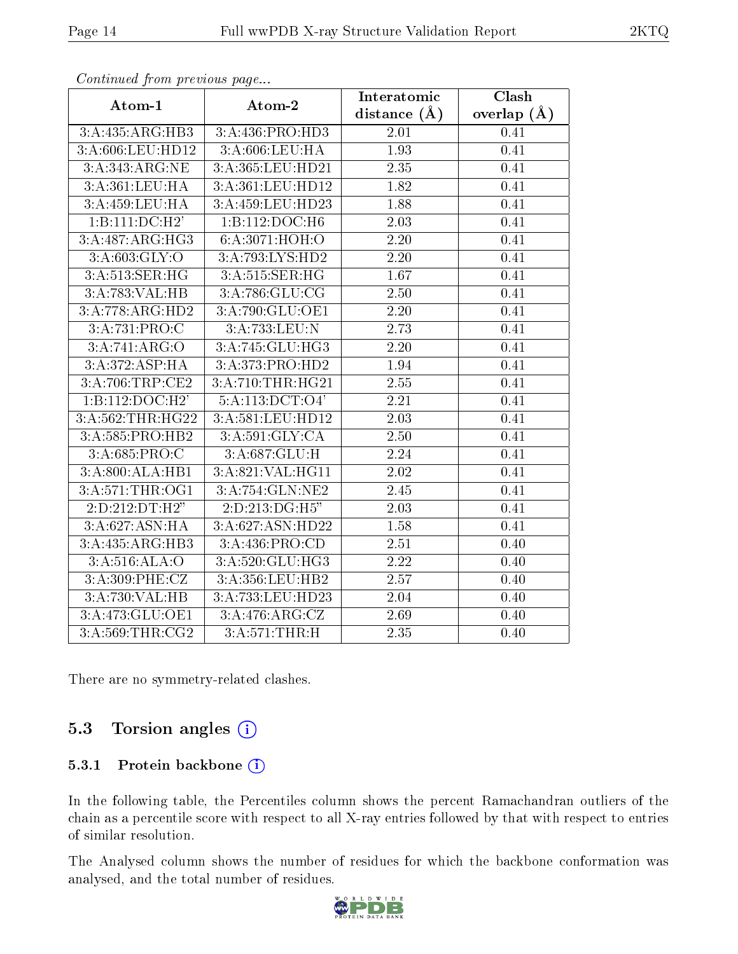| $\sum_{i=1}^{n}$                  |                   | Interatomic        | Clash           |
|-----------------------------------|-------------------|--------------------|-----------------|
| Atom-1                            | Atom-2            | distance $(\AA)$   | overlap $(\AA)$ |
| 3:A:435:ARG:HB3                   | 3:A:436:PRO:HD3   | 2.01               | 0.41            |
| 3:A:606:LEU:HD12                  | 3:A:606:LEU:HA    | 1.93               | 0.41            |
| 3:A:343:ARG:NE                    | 3:A:365:LEU:HD21  | 2.35               | 0.41            |
| 3:A:361:LEU:HA                    | 3:A:361:LEU:HD12  | $\overline{1}$ .82 | 0.41            |
| 3:A:459:LEU:HA                    | 3:A:459:LEU:HD23  | 1.88               | 0.41            |
| $1:B:111:DC:\overline{H2'}$       | 1:B:112:DOC:H6    | 2.03               | 0.41            |
| 3:A:487:ARG:HG3                   | 6:A:3071:HOH:O    | 2.20               | 0.41            |
| 3: A:603: GLY:O                   | 3:A:793:LYS:HD2   | 2.20               | 0.41            |
| 3:A:513:SER:HG                    | 3:A:515:SER:HG    | 1.67               | 0.41            |
| 3:A:783:VAL:HB                    | 3:A:786:GLU:CG    | 2.50               | 0.41            |
| 3:A:778:ARG:HD2                   | 3:A:790:GLU:OE1   | 2.20               | 0.41            |
| $3:A:731:\overline{\text{PRO:C}}$ | 3:A:733:LEU:N     | 2.73               | 0.41            |
| 3:A:741:ARG:O                     | 3:A:745:GLU:HG3   | 2.20               | 0.41            |
| 3:A:372:ASP:HA                    | 3:A:373:PRO:HD2   | 1.94               | 0.41            |
| 3:A:706:TRP:CE2                   | 3:A:710:THR:HG21  | 2.55               | 0.41            |
| 1:B:112:DOC:H2'                   | 5:A:113:DCT:O4'   | $2.21\,$           | 0.41            |
| 3:A:562:THR:HG22                  | 3:A:581:LEU:HD12  | 2.03               | 0.41            |
| 3:A:585:PRO:HB2                   | 3:A:591:GLY:CA    | 2.50               | 0.41            |
| 3:A:685:PRO:C                     | 3:A:687:GLU:H     | 2.24               | 0.41            |
| 3:A:800:ALA:HB1                   | 3:A:821:VAL:HG11  | 2.02               | 0.41            |
| 3: A:571:THR:OG1                  | 3:A:754:GLN:NE2   | $\overline{2}.45$  | 0.41            |
| 2:D:212:DT:H2"                    | 2:D:213:DG:H5"    | 2.03               | 0.41            |
| 3:A:627:ASN:HA                    | 3:A:627:ASN:HD22  | $1.58\,$           | 0.41            |
| 3:A:435:ARG:HB3                   | 3:A:436:PRO:CD    | 2.51               | 0.40            |
| 3:A:516:ALA:O                     | 3:A:520:GLU:HG3   | 2.22               | 0.40            |
| $3: A:309:$ PHE:CZ                | 3:A:356:LEU:HB2   | $\overline{2.57}$  | 0.40            |
| 3:A:730:VAL:HB                    | 3:A:733:LEU:HD23  | 2.04               | 0.40            |
| 3:A:473:GLU:OE1                   | 3: A:476: ARG: CZ | 2.69               | 0.40            |
| 3:A:569:THR:CG2                   | 3:A:571:THR:H     | $\overline{2}.35$  | 0.40            |

There are no symmetry-related clashes.

#### 5.3 Torsion angles (i)

#### 5.3.1 Protein backbone (i)

In the following table, the Percentiles column shows the percent Ramachandran outliers of the chain as a percentile score with respect to all X-ray entries followed by that with respect to entries of similar resolution.

The Analysed column shows the number of residues for which the backbone conformation was analysed, and the total number of residues.

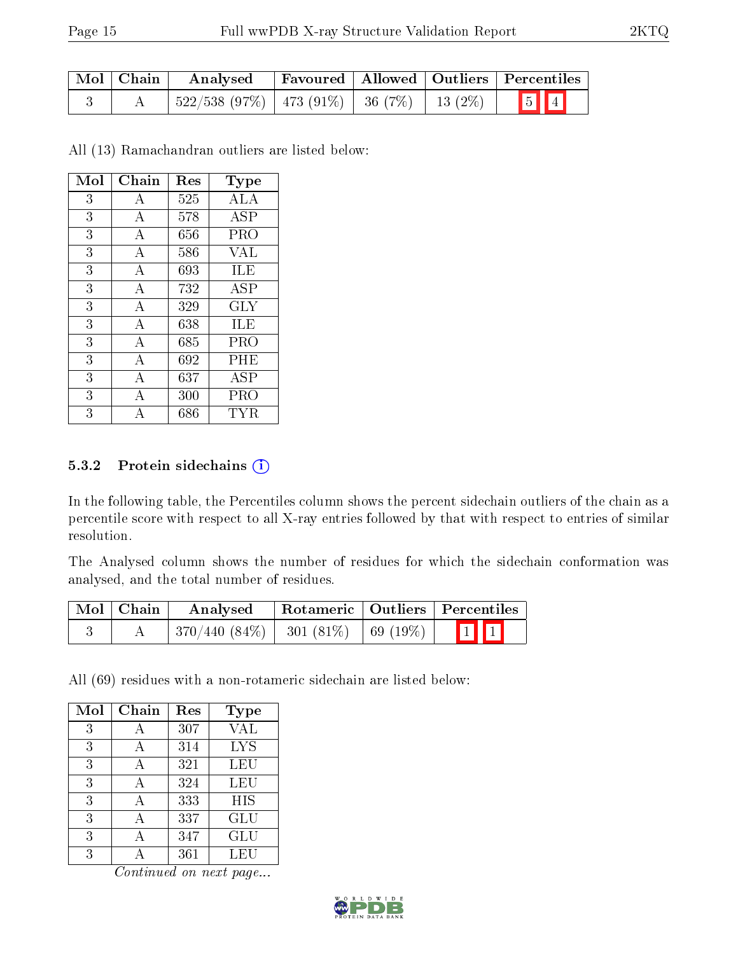| Mol   Chain | Analysed                                        |  | Favoured   Allowed   Outliers   Percentiles |
|-------------|-------------------------------------------------|--|---------------------------------------------|
|             | $522/538$ (97%)   473 (91%)   36 (7%)   13 (2%) |  | $5$ $1$                                     |

All (13) Ramachandran outliers are listed below:

| Mol | Chain | Res | Type       |
|-----|-------|-----|------------|
| 3   | А     | 525 | ALA        |
| 3   | А     | 578 | <b>ASP</b> |
| 3   | А     | 656 | PRO        |
| 3   | А     | 586 | <b>VAL</b> |
| 3   | А     | 693 | ILE        |
| 3   | А     | 732 | ASP        |
| 3   | А     | 329 | GLY        |
| 3   | А     | 638 | ILE        |
| 3   | А     | 685 | PRO        |
| 3   | А     | 692 | PHE        |
| 3   | А     | 637 | ASP        |
| 3   | А     | 300 | PRO        |
| 3   |       | 686 | TYR.       |

#### 5.3.2 Protein sidechains  $(i)$

In the following table, the Percentiles column shows the percent sidechain outliers of the chain as a percentile score with respect to all X-ray entries followed by that with respect to entries of similar resolution.

The Analysed column shows the number of residues for which the sidechain conformation was analysed, and the total number of residues.

| $\mid$ Mol $\mid$ Chain | Analysed                                        |  | Rotameric   Outliers   Percentiles |
|-------------------------|-------------------------------------------------|--|------------------------------------|
|                         | $370/440$ $(84\%)$   301 $(81\%)$   69 $(19\%)$ |  | $\boxed{1}$ $\boxed{1}$            |

All (69) residues with a non-rotameric sidechain are listed below:

| Mol | Chain | Res | Type       |
|-----|-------|-----|------------|
| 3   | А     | 307 | VAL        |
| 3   | А     | 314 | <b>LYS</b> |
| 3   | А     | 321 | LEU        |
| 3   |       | 324 | LEU        |
| 3   |       | 333 | HIS        |
| 3   |       | 337 | GLU        |
| 3   |       | 347 | GLU        |
| 3   |       | 361 | LEU        |

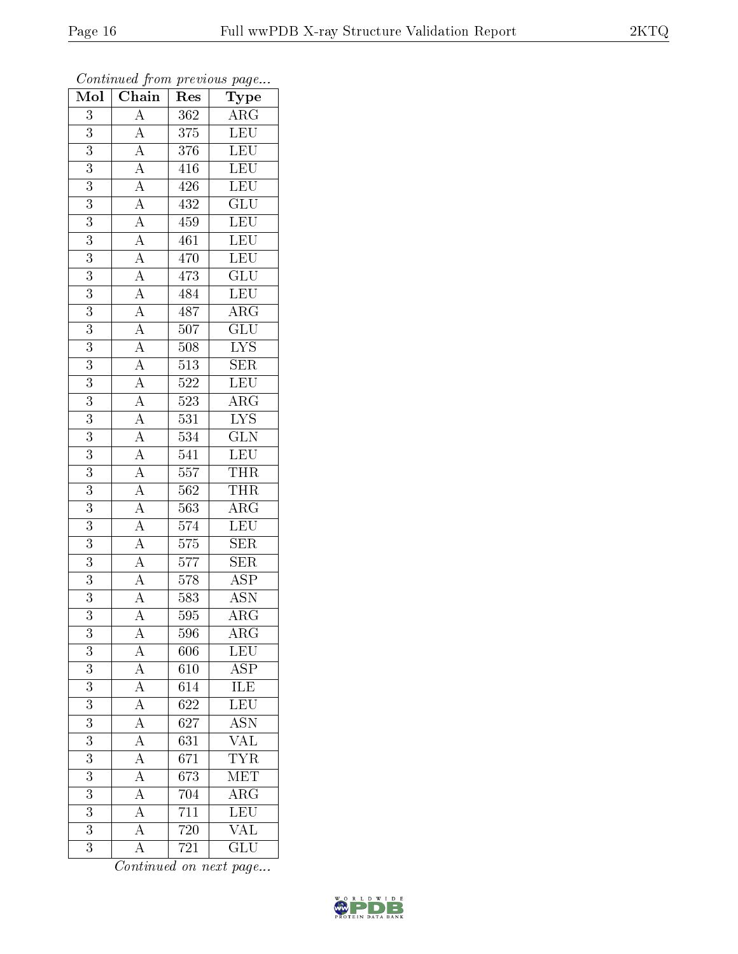| Mol                     | $\overline{\text{Chain}}$                                                                                                                                                                                                                                                                                                                                                                    | Res              | $\mathrm{\bar{Ty}pe}$                              |
|-------------------------|----------------------------------------------------------------------------------------------------------------------------------------------------------------------------------------------------------------------------------------------------------------------------------------------------------------------------------------------------------------------------------------------|------------------|----------------------------------------------------|
| 3                       |                                                                                                                                                                                                                                                                                                                                                                                              | 362              | $\overline{\text{ARG}}$                            |
| $\overline{3}$          |                                                                                                                                                                                                                                                                                                                                                                                              | $\overline{375}$ | LEU                                                |
| $\overline{3}$          |                                                                                                                                                                                                                                                                                                                                                                                              | $\overline{376}$ | $\overline{\text{LEU}}$                            |
| $\overline{3}$          |                                                                                                                                                                                                                                                                                                                                                                                              | 416              | LEU                                                |
| $\overline{3}$          |                                                                                                                                                                                                                                                                                                                                                                                              | 426              | LEU                                                |
| 3                       |                                                                                                                                                                                                                                                                                                                                                                                              | 432              | $\overline{\text{GLU}}$                            |
| $\overline{3}$          |                                                                                                                                                                                                                                                                                                                                                                                              | 459              | LEU                                                |
| $\overline{3}$          |                                                                                                                                                                                                                                                                                                                                                                                              | 461              | LEU                                                |
| $\overline{3}$          |                                                                                                                                                                                                                                                                                                                                                                                              | $470\,$          | <b>LEU</b>                                         |
| $\overline{3}$          |                                                                                                                                                                                                                                                                                                                                                                                              | 473              | $\overline{\text{GLU}}$                            |
| $\overline{3}$          |                                                                                                                                                                                                                                                                                                                                                                                              | 484              | LEU                                                |
| $\overline{3}$          |                                                                                                                                                                                                                                                                                                                                                                                              | 487              |                                                    |
| $\overline{3}$          |                                                                                                                                                                                                                                                                                                                                                                                              | $\overline{507}$ | $\frac{\overline{\text{ARG}}}{\text{GLU}}$         |
| $\overline{3}$          |                                                                                                                                                                                                                                                                                                                                                                                              | $\overline{508}$ | $\frac{\overline{\text{L} \text{YS}}}{\text{SER}}$ |
| $\overline{3}$          |                                                                                                                                                                                                                                                                                                                                                                                              | $\overline{513}$ |                                                    |
| $\overline{3}$          | $\frac{A}{A} \frac{A}{A} \frac{A}{A} \frac{A}{A} \frac{A}{A} \frac{A}{A} \frac{A}{A} \frac{A}{A} \frac{A}{A} \frac{A}{A} \frac{A}{A} \frac{A}{A} \frac{A}{A} \frac{A}{A} \frac{A}{A} \frac{A}{A} \frac{A}{A} \frac{A}{A} \frac{A}{A} \frac{A}{A} \frac{A}{A} \frac{A}{A} \frac{A}{A} \frac{A}{A} \frac{A}{A} \frac{A}{A} \frac{A}{A} \frac{A}{A} \frac{A}{A} \frac{A}{A} \frac{A}{A} \frac{$ | $522\,$          | $\frac{\overline{\textrm{LEU}}}{\textrm{ARG}}$     |
| $\overline{3}$          |                                                                                                                                                                                                                                                                                                                                                                                              | $\overline{523}$ |                                                    |
| $\overline{3}$          |                                                                                                                                                                                                                                                                                                                                                                                              | $531\,$          | $\overline{\text{LYS}}$                            |
| 3                       |                                                                                                                                                                                                                                                                                                                                                                                              | $\overline{534}$ | $\overline{\text{GLN}}$                            |
| $\overline{3}$          |                                                                                                                                                                                                                                                                                                                                                                                              | 541              | LEU                                                |
| $\overline{3}$          |                                                                                                                                                                                                                                                                                                                                                                                              | 557              | $\frac{22}{\text{THR}}$                            |
| $\overline{3}$          |                                                                                                                                                                                                                                                                                                                                                                                              | 562              | <b>THR</b>                                         |
| 3                       |                                                                                                                                                                                                                                                                                                                                                                                              | 563              | $\overline{\text{ARG}}$                            |
| $\overline{3}$          |                                                                                                                                                                                                                                                                                                                                                                                              | $\overline{574}$ | LEU                                                |
| $\overline{3}$          |                                                                                                                                                                                                                                                                                                                                                                                              | $\overline{575}$ | $\overline{\text{SER}}$                            |
| $\overline{3}$          |                                                                                                                                                                                                                                                                                                                                                                                              | $577\,$          | SER                                                |
| $\overline{3}$          |                                                                                                                                                                                                                                                                                                                                                                                              | $\overline{578}$ | $\overline{\text{ASP}}$                            |
| 3                       |                                                                                                                                                                                                                                                                                                                                                                                              | 583              | $\overline{\mathrm{ASN}}$                          |
| 3                       |                                                                                                                                                                                                                                                                                                                                                                                              | 595              | $\overline{\rm{ARG}}$                              |
| 3                       | А                                                                                                                                                                                                                                                                                                                                                                                            | 596              | $AR\overline{G}$                                   |
| 3                       | $\overline{A}$                                                                                                                                                                                                                                                                                                                                                                               | 606              | $\overline{L}$ EU                                  |
| $\overline{3}$          |                                                                                                                                                                                                                                                                                                                                                                                              | 610              | $\overline{\text{ASP}}$                            |
| $\boldsymbol{3}$        | $\frac{\overline{A}}{\overline{A}}$                                                                                                                                                                                                                                                                                                                                                          | 614              | ILE<br>LEU                                         |
| $\overline{3}$          |                                                                                                                                                                                                                                                                                                                                                                                              | $\overline{622}$ |                                                    |
| $\overline{\mathbf{3}}$ | $\frac{1}{\underline{A}}$                                                                                                                                                                                                                                                                                                                                                                    | 627              | <u>ASN</u>                                         |
| $\overline{3}$          | $\overline{A}$                                                                                                                                                                                                                                                                                                                                                                               | $\overline{631}$ | $\overline{\text{VAL}}$                            |
| $\overline{\mathbf{3}}$ | $\frac{\overline{A}}{\overline{A}}$                                                                                                                                                                                                                                                                                                                                                          | 671              | <b>TYR</b>                                         |
| 3                       |                                                                                                                                                                                                                                                                                                                                                                                              | 673              | MET                                                |
| $\overline{\mathbf{3}}$ | $\overline{A}$                                                                                                                                                                                                                                                                                                                                                                               | 704              | $\overline{\rm{ARG}}$                              |
| $\overline{3}$          | $\overline{A}$                                                                                                                                                                                                                                                                                                                                                                               | 711              | $\overline{\text{LEU}}$                            |
| $\overline{3}$          | $\overline{A}$                                                                                                                                                                                                                                                                                                                                                                               | $\overline{720}$ | $\overline{\text{VAL}}$                            |
| 3                       | $\overline{A}$                                                                                                                                                                                                                                                                                                                                                                               | 721              | $\overline{{\rm GLU}}$                             |

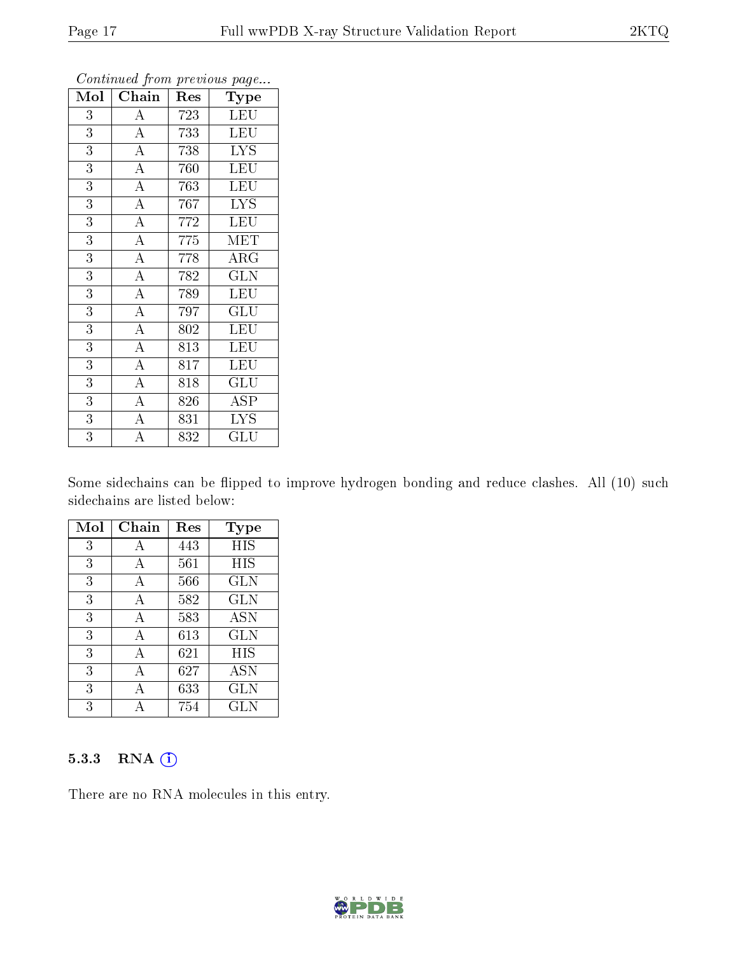| Mol            | Chain              | Res | Type                                       |
|----------------|--------------------|-----|--------------------------------------------|
| 3              | $\boldsymbol{A}$   | 723 | <b>LEU</b>                                 |
| 3              | $\overline{\rm A}$ | 733 | LEU                                        |
| $\overline{3}$ | $\overline{A}$     | 738 | <b>LYS</b>                                 |
| $\overline{3}$ | $\overline{\rm A}$ | 760 | <b>LEU</b>                                 |
| $\overline{3}$ | $\overline{A}$     | 763 | LEU                                        |
| 3              | $\overline{\rm A}$ | 767 | <b>LYS</b>                                 |
| $\overline{3}$ | $\overline{\rm A}$ | 772 | <b>LEU</b>                                 |
| 3              | $\overline{A}$     | 775 | MET                                        |
| $\overline{3}$ | $\overline{\rm A}$ | 778 | $\rm{ARG}$                                 |
| $\overline{3}$ | $\overline{A}$     | 782 | $\overline{\text{GLN}}$                    |
| $\overline{3}$ | $\overline{A}$     | 789 | <b>LEU</b>                                 |
| 3              | $\overline{\rm A}$ | 797 | $\operatorname{GL} \bar{\operatorname{U}}$ |
| $\overline{3}$ | $\overline{\rm A}$ | 802 | LEU                                        |
| $\overline{3}$ | $\boldsymbol{A}$   | 813 | <b>LEU</b>                                 |
| 3              | $\overline{A}$     | 817 | LEU                                        |
| 3              | $\overline{\rm A}$ | 818 | GLU                                        |
| $\overline{3}$ | $\overline{\rm A}$ | 826 | $\overline{\rm ASP}$                       |
| $\overline{3}$ | $\overline{\rm A}$ | 831 | <b>LYS</b>                                 |
| $\overline{3}$ | $\overline{\rm A}$ | 832 | $\operatorname{GLU}$                       |

Some sidechains can be flipped to improve hydrogen bonding and reduce clashes. All (10) such sidechains are listed below:

| Mol | Chain | Res | <b>Type</b> |
|-----|-------|-----|-------------|
| 3   | А     | 443 | HIS         |
| 3   | А     | 561 | HIS         |
| 3   | А     | 566 | GLN         |
| 3   | А     | 582 | <b>GLN</b>  |
| 3   | А     | 583 | <b>ASN</b>  |
| 3   | А     | 613 | <b>GLN</b>  |
| 3   | А     | 621 | HIS         |
| 3   | А     | 627 | ASN         |
| 3   | А     | 633 | <b>GLN</b>  |
| 3   |       | 754 | GLN         |

#### 5.3.3 RNA (i)

There are no RNA molecules in this entry.

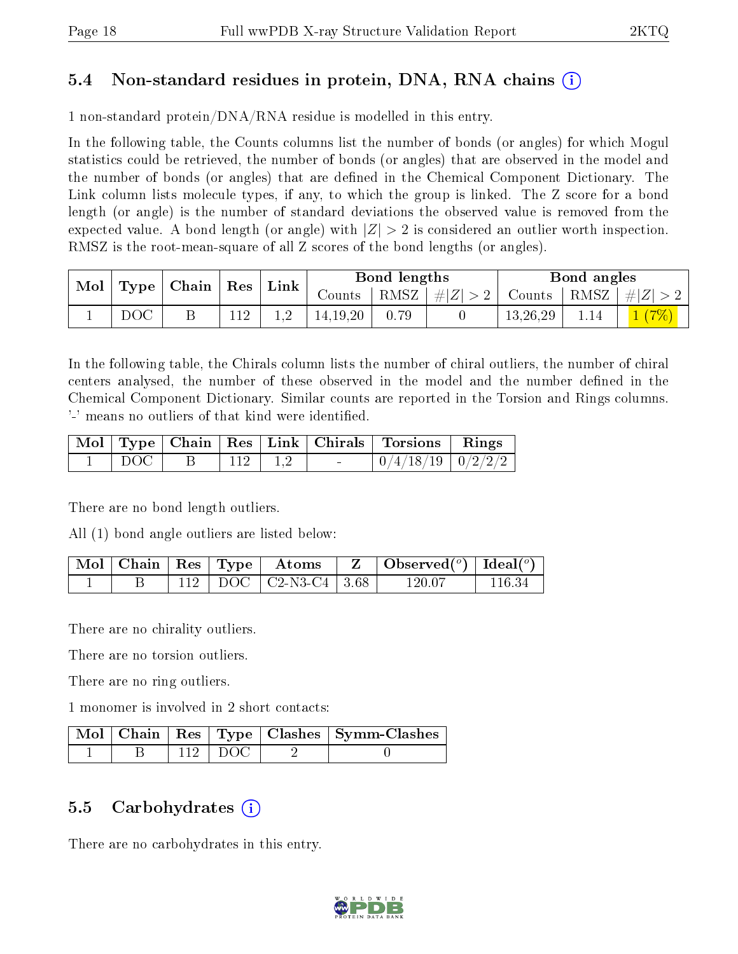### 5.4 Non-standard residues in protein, DNA, RNA chains (i)

1 non-standard protein/DNA/RNA residue is modelled in this entry.

In the following table, the Counts columns list the number of bonds (or angles) for which Mogul statistics could be retrieved, the number of bonds (or angles) that are observed in the model and the number of bonds (or angles) that are dened in the Chemical Component Dictionary. The Link column lists molecule types, if any, to which the group is linked. The Z score for a bond length (or angle) is the number of standard deviations the observed value is removed from the expected value. A bond length (or angle) with  $|Z| > 2$  is considered an outlier worth inspection. RMSZ is the root-mean-square of all Z scores of the bond lengths (or angles).

| Mol |     | $\perp$ Type   Chain   Res | $^{\shortmid}$ Link |                     | Bond lengths |                    |               | Bond angles |            |
|-----|-----|----------------------------|---------------------|---------------------|--------------|--------------------|---------------|-------------|------------|
|     |     |                            |                     | Counts <sup>1</sup> |              | RMSZ   $\# Z  > 2$ | Counts   RMSZ |             | $+ Z  > 2$ |
|     | DOC |                            |                     | 14.19.20            | 0.79         |                    | 13,26,29      | 1.14        | $(7\%)$    |

In the following table, the Chirals column lists the number of chiral outliers, the number of chiral centers analysed, the number of these observed in the model and the number defined in the Chemical Component Dictionary. Similar counts are reported in the Torsion and Rings columns. '-' means no outliers of that kind were identified.

|       |  |             | Mol   Type   Chain   Res   Link   Chirals   Torsions   Rings |  |
|-------|--|-------------|--------------------------------------------------------------|--|
| DOC - |  | $112$   1,2 | $\mid 0/4/18/19 \mid 0/2/2/2 \mid$                           |  |

There are no bond length outliers.

All (1) bond angle outliers are listed below:

|  |  | $\mid$ Mol $\mid$ Chain $\mid$ Res $\mid$ Type $\mid$ $\mid$ Atoms $\mid$ | $\parallel$ Z $\perp$ | Observed $(^\circ)$   Ideal $(^\circ)$ |  |
|--|--|---------------------------------------------------------------------------|-----------------------|----------------------------------------|--|
|  |  | $112$   DOC   C2-N3-C4   3.68                                             |                       | 120 07                                 |  |

There are no chirality outliers.

There are no torsion outliers.

There are no ring outliers.

1 monomer is involved in 2 short contacts:

|  |            | Mol   Chain   Res   Type   Clashes   Symm-Clashes |
|--|------------|---------------------------------------------------|
|  | $-112$ DOC |                                                   |

#### 5.5 Carbohydrates  $(i)$

There are no carbohydrates in this entry.

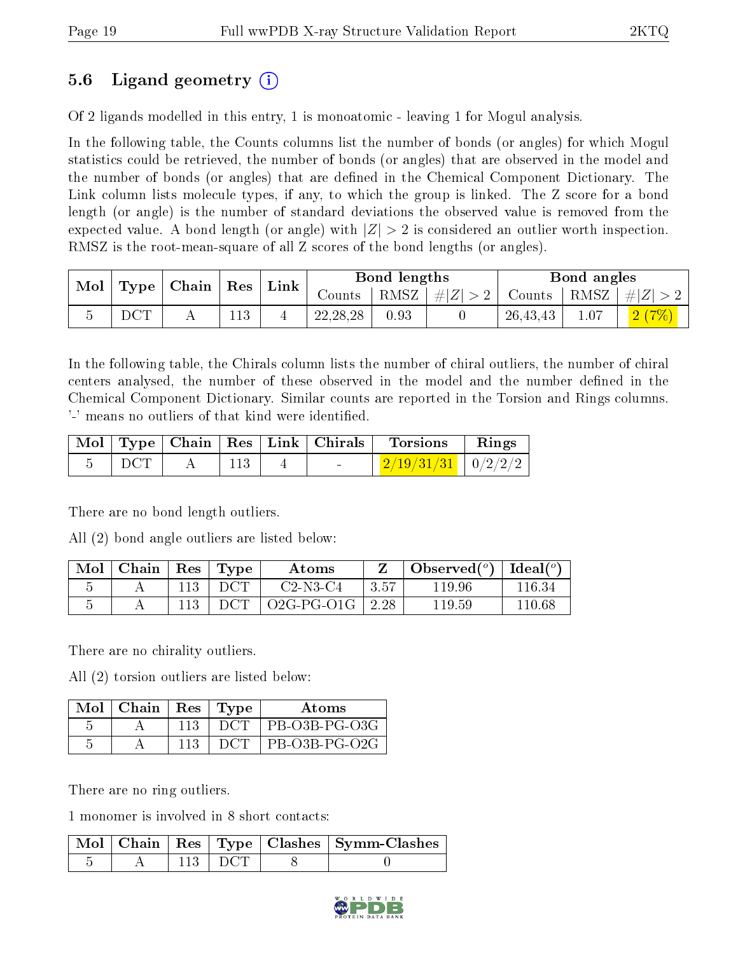## 5.6 Ligand geometry (i)

Of 2 ligands modelled in this entry, 1 is monoatomic - leaving 1 for Mogul analysis.

In the following table, the Counts columns list the number of bonds (or angles) for which Mogul statistics could be retrieved, the number of bonds (or angles) that are observed in the model and the number of bonds (or angles) that are dened in the Chemical Component Dictionary. The Link column lists molecule types, if any, to which the group is linked. The Z score for a bond length (or angle) is the number of standard deviations the observed value is removed from the expected value. A bond length (or angle) with  $|Z| > 2$  is considered an outlier worth inspection. RMSZ is the root-mean-square of all Z scores of the bond lengths (or angles).

| $\text{Mol}$ |     | $\mid$ Type $\mid$ Chain $\mid$ Res $\mid$ | $^{\dagger}$ Link |            | Bond lengths |         |                                        | Bond angles |       |
|--------------|-----|--------------------------------------------|-------------------|------------|--------------|---------|----------------------------------------|-------------|-------|
|              |     |                                            |                   | Counts     | RMSZ         | #Z  > 2 | Counts   RMSZ $\vert \# \vert Z \vert$ |             |       |
|              | DCT |                                            |                   | 22, 28, 28 | 0.93         |         | 26, 43, 43                             |             | 2(7%) |

In the following table, the Chirals column lists the number of chiral outliers, the number of chiral centers analysed, the number of these observed in the model and the number defined in the Chemical Component Dictionary. Similar counts are reported in the Torsion and Rings columns. '-' means no outliers of that kind were identified.

|     |  | Mol   Type   Chain   Res   Link   Chirals | Torsions                                | $\mathbf{Rings}$ |
|-----|--|-------------------------------------------|-----------------------------------------|------------------|
| DCT |  | <b>Contract Contract Contract</b>         | $\mid$ 2/19/31/31 $\mid$ 0/2/2/2 $\mid$ |                  |

There are no bond length outliers.

All (2) bond angle outliers are listed below:

| Mol | Chain | Res | Type | Atoms      |      | Observed $(°)$ | Ideal $(^\circ)$ |
|-----|-------|-----|------|------------|------|----------------|------------------|
|     |       |     | DCT  | $C2-N3-C4$ | 3.57 | 119.96         | 116.34           |
|     |       |     | DCT. | 02G-PG-01G | 2.28 | $119.59\,$     | 110 68           |

There are no chirality outliers.

All (2) torsion outliers are listed below:

| Mol | Chain | Res   Type | Atoms         |
|-----|-------|------------|---------------|
|     |       | DCT        | PB-O3B-PG-O3G |
|     |       |            | PB-O3B-PG-O2G |

There are no ring outliers.

1 monomer is involved in 8 short contacts:

|  |           | Mol   Chain   Res   Type   Clashes   Symm-Clashes |
|--|-----------|---------------------------------------------------|
|  | $113$ DCT |                                                   |

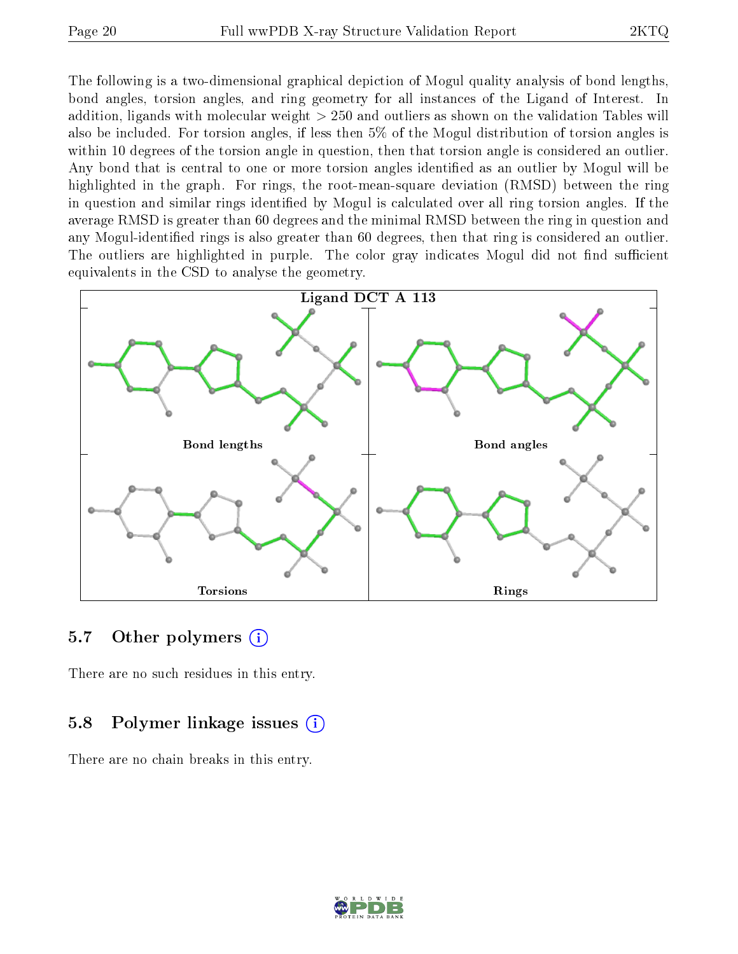The following is a two-dimensional graphical depiction of Mogul quality analysis of bond lengths, bond angles, torsion angles, and ring geometry for all instances of the Ligand of Interest. In addition, ligands with molecular weight > 250 and outliers as shown on the validation Tables will also be included. For torsion angles, if less then 5% of the Mogul distribution of torsion angles is within 10 degrees of the torsion angle in question, then that torsion angle is considered an outlier. Any bond that is central to one or more torsion angles identified as an outlier by Mogul will be highlighted in the graph. For rings, the root-mean-square deviation (RMSD) between the ring in question and similar rings identified by Mogul is calculated over all ring torsion angles. If the average RMSD is greater than 60 degrees and the minimal RMSD between the ring in question and any Mogul-identified rings is also greater than 60 degrees, then that ring is considered an outlier. The outliers are highlighted in purple. The color gray indicates Mogul did not find sufficient equivalents in the CSD to analyse the geometry.



#### 5.7 [O](https://www.wwpdb.org/validation/2017/XrayValidationReportHelp#nonstandard_residues_and_ligands)ther polymers (i)

There are no such residues in this entry.

#### 5.8 Polymer linkage issues (i)

There are no chain breaks in this entry.